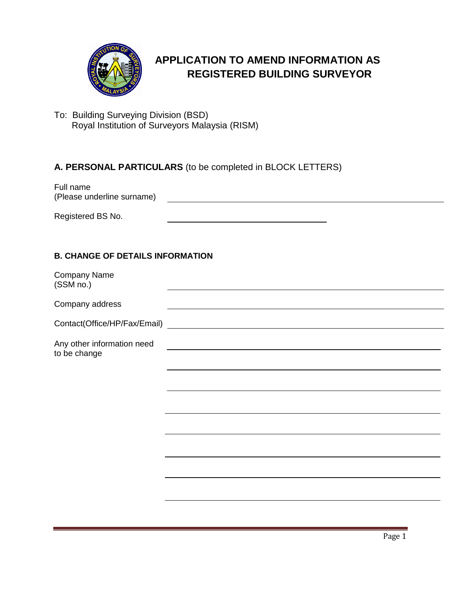

# **APPLICATION TO AMEND INFORMATION AS REGISTERED BUILDING SURVEYOR**

To: Building Surveying Division (BSD) Royal Institution of Surveyors Malaysia (RISM)

## **A. PERSONAL PARTICULARS** (to be completed in BLOCK LETTERS)

Full name (Please underline surname) Registered BS No. **Example 20** Security 1 and 20 Security 1 and 20 Security 1 and 20 Security 1 and 20 Security 1 and 20 Security 1 and 20 Security 1 and 20 Security 1 and 20 Security 1 and 20 Security 1 and 20 Security 1

#### **B. CHANGE OF DETAILS INFORMATION**

| <b>Company Name</b><br>(SSM no.)           |  |
|--------------------------------------------|--|
| Company address                            |  |
|                                            |  |
| Any other information need<br>to be change |  |
|                                            |  |
|                                            |  |
|                                            |  |
|                                            |  |
|                                            |  |
|                                            |  |
|                                            |  |
|                                            |  |